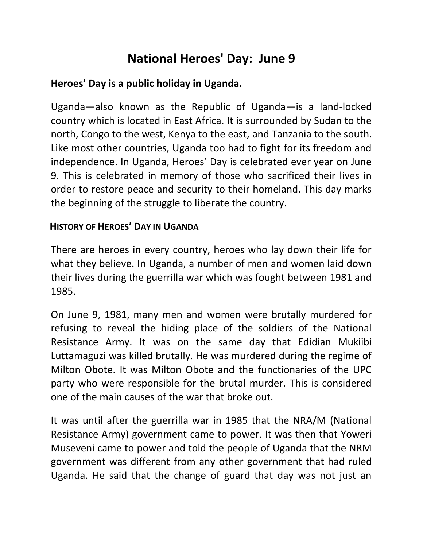## **National Heroes' Day: June 9**

## **Heroes' Day is a public holiday in Uganda.**

Uganda—also known as the Republic of Uganda—is a land-locked country which is located in East Africa. It is surrounded by Sudan to the north, Congo to the west, Kenya to the east, and Tanzania to the south. Like most other countries, Uganda too had to fight for its freedom and independence. In Uganda, Heroes' Day is celebrated ever year on June 9. This is celebrated in memory of those who sacrificed their lives in order to restore peace and security to their homeland. This day marks the beginning of the struggle to liberate the country.

## **HISTORY OF HEROES' DAY IN UGANDA**

There are heroes in every country, heroes who lay down their life for what they believe. In Uganda, a number of men and women laid down their lives during the guerrilla war which was fought between 1981 and 1985.

On June 9, 1981, many men and women were brutally murdered for refusing to reveal the hiding place of the soldiers of the National Resistance Army. It was on the same day that Edidian Mukiibi Luttamaguzi was killed brutally. He was murdered during the regime of Milton Obote. It was Milton Obote and the functionaries of the UPC party who were responsible for the brutal murder. This is considered one of the main causes of the war that broke out.

It was until after the guerrilla war in 1985 that the NRA/M (National Resistance Army) government came to power. It was then that Yoweri Museveni came to power and told the people of Uganda that the NRM government was different from any other government that had ruled Uganda. He said that the change of guard that day was not just an